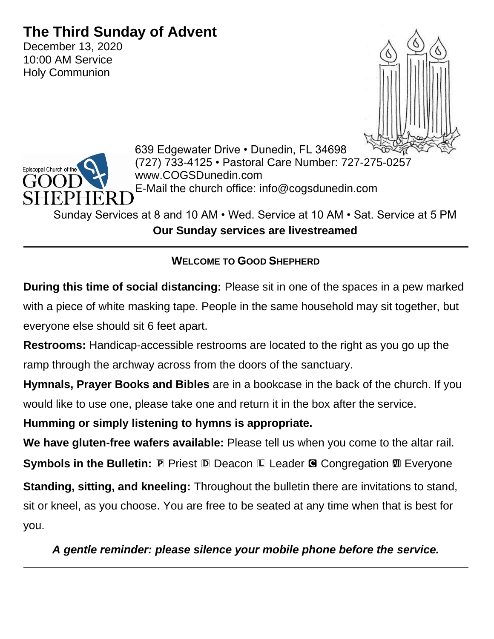# **The Third Sunday of Advent**

December 13, 2020 10:00 AM Service Holy Communion





639 Edgewater Drive • Dunedin, FL 34698 (727) 733-4125 • Pastoral Care Number: 727-275-0257 www.COGSDunedin.com E-Mail the church office: info@cogsdunedin.com

Sunday Services at 8 and 10 AM • Wed. Service at 10 AM • Sat. Service at 5 PM **Our Sunday services are livestreamed**

# **WELCOME TO GOOD SHEPHERD**

**During this time of social distancing:** Please sit in one of the spaces in a pew marked with a piece of white masking tape. People in the same household may sit together, but everyone else should sit 6 feet apart.

**Restrooms:** Handicap-accessible restrooms are located to the right as you go up the ramp through the archway across from the doors of the sanctuary.

**Hymnals, Prayer Books and Bibles** are in a bookcase in the back of the church. If you would like to use one, please take one and return it in the box after the service.

**Humming or simply listening to hymns is appropriate.**

**We have gluten-free wafers available:** Please tell us when you come to the altar rail. **Symbols in the Bulletin: P Priest D Deacon L Leader <b>G** Congregation **M** Everyone

**Standing, sitting, and kneeling:** Throughout the bulletin there are invitations to stand, sit or kneel, as you choose. You are free to be seated at any time when that is best for you.

*A gentle reminder: please silence your mobile phone before the service.*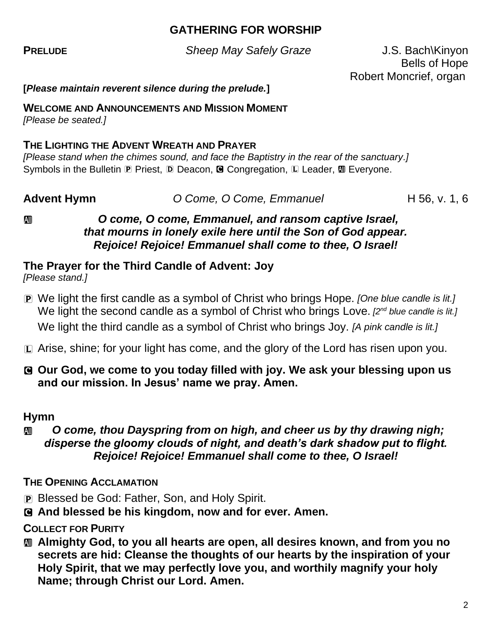#### **GATHERING FOR WORSHIP**

**PRELUDE** *Sheep May Safely Graze* J.S. Bach\Kinyon

Bells of Hope Robert Moncrief, organ

**[***Please maintain reverent silence during the prelude.***]**

#### **WELCOME AND ANNOUNCEMENTS AND MISSION MOMENT**

*[Please be seated.]*

#### **THE LIGHTING THE ADVENT WREATH AND PRAYER**

*[Please stand when the chimes sound, and face the Baptistry in the rear of the sanctuary.]* Symbols in the Bulletin P Priest, D Deacon, **G** Congregation, L Leader, **M** Everyone.

**Advent Hymn** *O Come, O Come, Emmanuel* **H 56, v. 1, 6** 

#### a *O come, O come, Emmanuel, and ransom captive Israel, that mourns in lonely exile here until the Son of God appear. Rejoice! Rejoice! Emmanuel shall come to thee, O Israel!*

# **The Prayer for the Third Candle of Advent: Joy**

*[Please stand.]*

- P We light the first candle as a symbol of Christ who brings Hope. *[One blue candle is lit.]* We light the second candle as a symbol of Christ who brings Love. *[2<sup>nd</sup> blue candle is lit.]* We light the third candle as a symbol of Christ who brings Joy. *[A pink candle is lit.]*
- L Arise, shine; for your light has come, and the glory of the Lord has risen upon you.
- C **Our God, we come to you today filled with joy. We ask your blessing upon us and our mission. In Jesus' name we pray. Amen.**

#### **Hymn**

 $\mathbb{R}$ *O come, thou Dayspring from on high, and cheer us by thy drawing nigh; disperse the gloomy clouds of night, and death's dark shadow put to flight. Rejoice! Rejoice! Emmanuel shall come to thee, O Israel!*

**THE OPENING ACCLAMATION**

- P Blessed be God: Father, Son, and Holy Spirit.
- C **And blessed be his kingdom, now and for ever. Amen.**

**COLLECT FOR PURITY**

a **Almighty God, to you all hearts are open, all desires known, and from you no secrets are hid: Cleanse the thoughts of our hearts by the inspiration of your Holy Spirit, that we may perfectly love you, and worthily magnify your holy Name; through Christ our Lord. Amen.**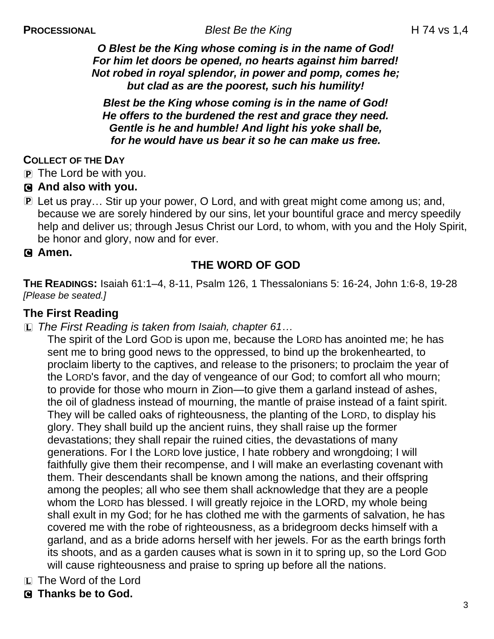**PROCESSIONAL** *Blest Be the King* H 74 vs 1,4

*O Blest be the King whose coming is in the name of God! For him let doors be opened, no hearts against him barred! Not robed in royal splendor, in power and pomp, comes he; but clad as are the poorest, such his humility!*

*Blest be the King whose coming is in the name of God! He offers to the burdened the rest and grace they need. Gentle is he and humble! And light his yoke shall be, for he would have us bear it so he can make us free.*

#### **COLLECT OF THE DAY**

- P The Lord be with you.
- C **And also with you.**
- P Let us pray… Stir up your power, O Lord, and with great might come among us; and, because we are sorely hindered by our sins, let your bountiful grace and mercy speedily help and deliver us; through Jesus Christ our Lord, to whom, with you and the Holy Spirit, be honor and glory, now and for ever.

#### C **Amen.**

#### **THE WORD OF GOD**

**THE READINGS:** Isaiah 61:1–4, 8-11, Psalm 126, 1 Thessalonians 5: 16-24, John 1:6-8, 19-28 *[Please be seated.]*

#### **The First Reading**

L *The First Reading is taken from Isaiah, chapter 61…*

The spirit of the Lord GOD is upon me, because the LORD has anointed me; he has sent me to bring good news to the oppressed, to bind up the brokenhearted, to proclaim liberty to the captives, and release to the prisoners; to proclaim the year of the LORD's favor, and the day of vengeance of our God; to comfort all who mourn; to provide for those who mourn in Zion—to give them a garland instead of ashes, the oil of gladness instead of mourning, the mantle of praise instead of a faint spirit. They will be called oaks of righteousness, the planting of the LORD, to display his glory. They shall build up the ancient ruins, they shall raise up the former devastations; they shall repair the ruined cities, the devastations of many generations. For I the LORD love justice, I hate robbery and wrongdoing; I will faithfully give them their recompense, and I will make an everlasting covenant with them. Their descendants shall be known among the nations, and their offspring among the peoples; all who see them shall acknowledge that they are a people whom the LORD has blessed. I will greatly rejoice in the LORD, my whole being shall exult in my God; for he has clothed me with the garments of salvation, he has covered me with the robe of righteousness, as a bridegroom decks himself with a garland, and as a bride adorns herself with her jewels. For as the earth brings forth its shoots, and as a garden causes what is sown in it to spring up, so the Lord GOD will cause righteousness and praise to spring up before all the nations.

- $\Box$  The Word of the Lord
- C **Thanks be to God.**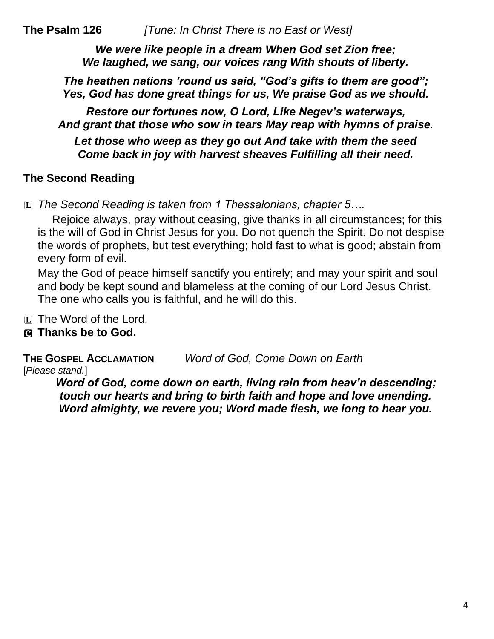*We were like people in a dream When God set Zion free; We laughed, we sang, our voices rang With shouts of liberty.*

*The heathen nations 'round us said, "God's gifts to them are good"; Yes, God has done great things for us, We praise God as we should.*

*Restore our fortunes now, O Lord, Like Negev's waterways, And grant that those who sow in tears May reap with hymns of praise.*

*Let those who weep as they go out And take with them the seed Come back in joy with harvest sheaves Fulfilling all their need.*

# **The Second Reading**

L *The Second Reading is taken from 1 Thessalonians, chapter 5….*

Rejoice always, pray without ceasing, give thanks in all circumstances; for this is the will of God in Christ Jesus for you. Do not quench the Spirit. Do not despise the words of prophets, but test everything; hold fast to what is good; abstain from every form of evil.

May the God of peace himself sanctify you entirely; and may your spirit and soul and body be kept sound and blameless at the coming of our Lord Jesus Christ. The one who calls you is faithful, and he will do this.

- L The Word of the Lord.
- C **Thanks be to God.**

**THE GOSPEL ACCLAMATION** *Word of God, Come Down on Earth* [*Please stand.*]

*Word of God, come down on earth, living rain from heav'n descending; touch our hearts and bring to birth faith and hope and love unending. Word almighty, we revere you; Word made flesh, we long to hear you.*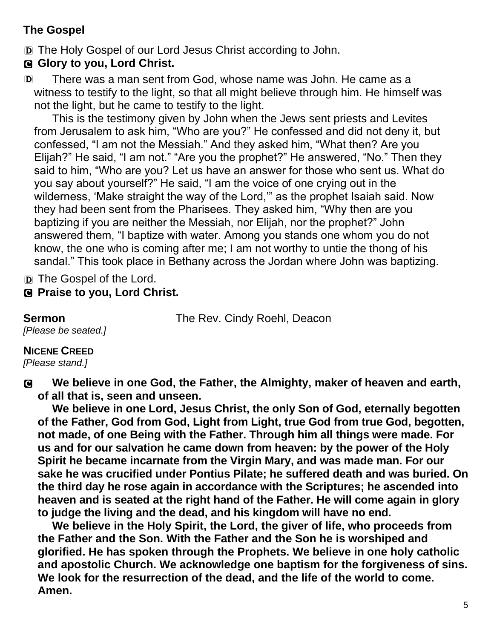# **The Gospel**

D The Holy Gospel of our Lord Jesus Christ according to John.

# C **Glory to you, Lord Christ.**

D There was a man sent from God, whose name was John. He came as a witness to testify to the light, so that all might believe through him. He himself was not the light, but he came to testify to the light.

This is the testimony given by John when the Jews sent priests and Levites from Jerusalem to ask him, "Who are you?" He confessed and did not deny it, but confessed, "I am not the Messiah." And they asked him, "What then? Are you Elijah?" He said, "I am not." "Are you the prophet?" He answered, "No." Then they said to him, "Who are you? Let us have an answer for those who sent us. What do you say about yourself?" He said, "I am the voice of one crying out in the wilderness, 'Make straight the way of the Lord,'" as the prophet Isaiah said. Now they had been sent from the Pharisees. They asked him, "Why then are you baptizing if you are neither the Messiah, nor Elijah, nor the prophet?" John answered them, "I baptize with water. Among you stands one whom you do not know, the one who is coming after me; I am not worthy to untie the thong of his sandal." This took place in Bethany across the Jordan where John was baptizing.

D The Gospel of the Lord.

C **Praise to you, Lord Christ.**

*[Please be seated.]*

**Sermon** The Rev. Cindy Roehl, Deacon

# **NICENE CREED**

*[Please stand.]*

C **We believe in one God, the Father, the Almighty, maker of heaven and earth, of all that is, seen and unseen.**

**We believe in one Lord, Jesus Christ, the only Son of God, eternally begotten of the Father, God from God, Light from Light, true God from true God, begotten, not made, of one Being with the Father. Through him all things were made. For us and for our salvation he came down from heaven: by the power of the Holy Spirit he became incarnate from the Virgin Mary, and was made man. For our sake he was crucified under Pontius Pilate; he suffered death and was buried. On the third day he rose again in accordance with the Scriptures; he ascended into heaven and is seated at the right hand of the Father. He will come again in glory to judge the living and the dead, and his kingdom will have no end.**

**We believe in the Holy Spirit, the Lord, the giver of life, who proceeds from the Father and the Son. With the Father and the Son he is worshiped and glorified. He has spoken through the Prophets. We believe in one holy catholic and apostolic Church. We acknowledge one baptism for the forgiveness of sins. We look for the resurrection of the dead, and the life of the world to come. Amen.**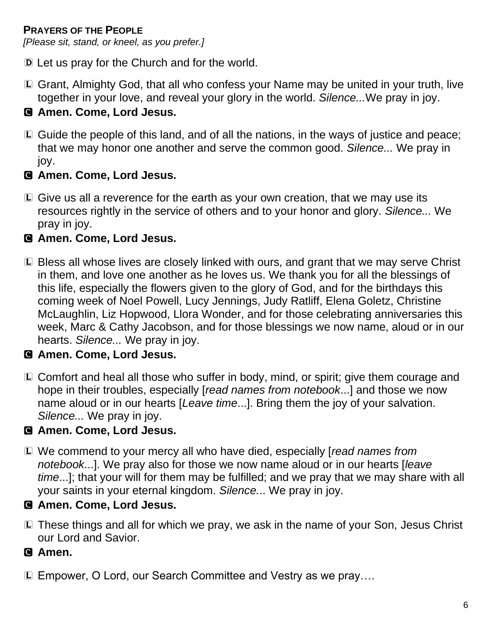# **PRAYERS OF THE PEOPLE**

*[Please sit, stand, or kneel, as you prefer.]*

- D Let us pray for the Church and for the world.
- L Grant, Almighty God, that all who confess your Name may be united in your truth, live together in your love, and reveal your glory in the world. *Silence...*We pray in joy.

# C **Amen. Come, Lord Jesus.**

L Guide the people of this land, and of all the nations, in the ways of justice and peace; that we may honor one another and serve the common good. *Silence...* We pray in joy.

# C **Amen. Come, Lord Jesus.**

L Give us all a reverence for the earth as your own creation, that we may use its resources rightly in the service of others and to your honor and glory. *Silence...* We pray in joy.

# C **Amen. Come, Lord Jesus.**

- L Bless all whose lives are closely linked with ours, and grant that we may serve Christ in them, and love one another as he loves us. We thank you for all the blessings of this life, especially the flowers given to the glory of God, and for the birthdays this coming week of Noel Powell, Lucy Jennings, Judy Ratliff, Elena Goletz, Christine McLaughlin, Liz Hopwood, Llora Wonder, and for those celebrating anniversaries this week, Marc & Cathy Jacobson, and for those blessings we now name, aloud or in our hearts. *Silence...* We pray in joy.
- C **Amen. Come, Lord Jesus.**
- L Comfort and heal all those who suffer in body, mind, or spirit; give them courage and hope in their troubles, especially [*read names from notebook*...] and those we now name aloud or in our hearts [*Leave time*...]. Bring them the joy of your salvation. *Silence...* We pray in joy.

# C **Amen. Come, Lord Jesus.**

L We commend to your mercy all who have died, especially [*read names from notebook*...]. We pray also for those we now name aloud or in our hearts [*leave time*...]; that your will for them may be fulfilled; and we pray that we may share with all your saints in your eternal kingdom. *Silence.*.. We pray in joy.

# C **Amen. Come, Lord Jesus.**

L These things and all for which we pray, we ask in the name of your Son, Jesus Christ our Lord and Savior.

# C **Amen.**

L Empower, O Lord, our Search Committee and Vestry as we pray….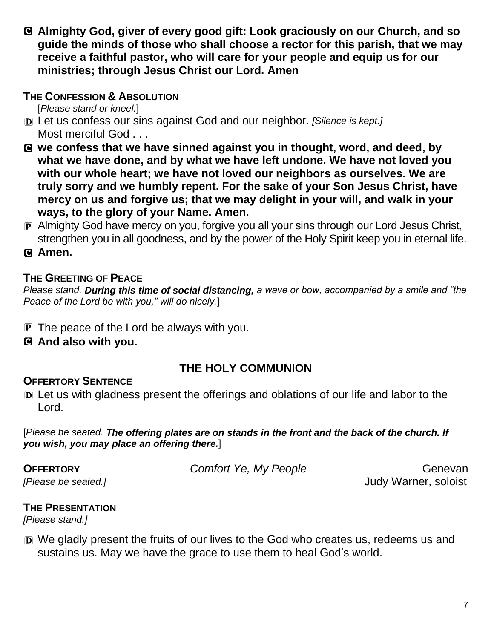C **Almighty God, giver of every good gift: Look graciously on our Church, and so guide the minds of those who shall choose a rector for this parish, that we may receive a faithful pastor, who will care for your people and equip us for our ministries; through Jesus Christ our Lord. Amen**

#### **THE CONFESSION & ABSOLUTION**

[*Please stand or kneel.*]

- D Let us confess our sins against God and our neighbor. *[Silence is kept.]* Most merciful God . . .
- C **we confess that we have sinned against you in thought, word, and deed, by what we have done, and by what we have left undone. We have not loved you with our whole heart; we have not loved our neighbors as ourselves. We are truly sorry and we humbly repent. For the sake of your Son Jesus Christ, have mercy on us and forgive us; that we may delight in your will, and walk in your ways, to the glory of your Name. Amen.**
- P Almighty God have mercy on you, forgive you all your sins through our Lord Jesus Christ, strengthen you in all goodness, and by the power of the Holy Spirit keep you in eternal life.

#### C **Amen.**

#### **THE GREETING OF PEACE**

*Please stand. During this time of social distancing, a wave or bow, accompanied by a smile and "the Peace of the Lord be with you," will do nicely.*]

**P** The peace of the Lord be always with you.

# C **And also with you.**

# **THE HOLY COMMUNION**

# **OFFERTORY SENTENCE**

D Let us with gladness present the offerings and oblations of our life and labor to the Lord.

[*Please be seated. The offering plates are on stands in the front and the back of the church. If you wish, you may place an offering there.*]

| <b>OFFERTORY</b>    | Comfort Ye, My People | Genevan                     |
|---------------------|-----------------------|-----------------------------|
| [Please be seated.] |                       | <b>Judy Warner, soloist</b> |

#### **THE PRESENTATION**

*[Please stand.]*

D We gladly present the fruits of our lives to the God who creates us, redeems us and sustains us. May we have the grace to use them to heal God's world.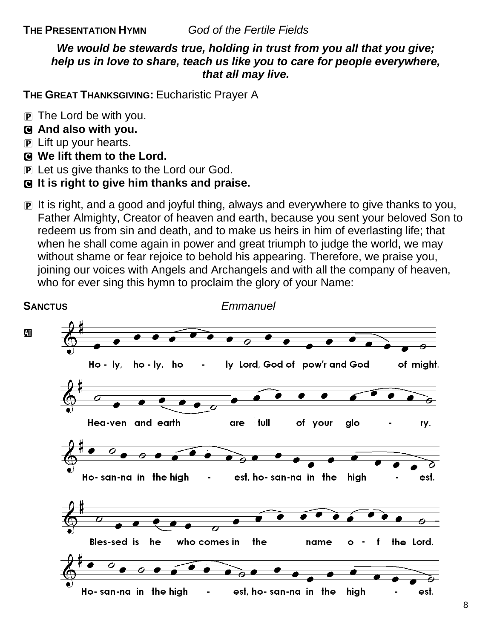#### *We would be stewards true, holding in trust from you all that you give; help us in love to share, teach us like you to care for people everywhere, that all may live.*

**THE GREAT THANKSGIVING:** Eucharistic Prayer A

- $\overline{p}$  The Lord be with you.
- C **And also with you.**
- P Lift up your hearts.
- C **We lift them to the Lord.**
- P Let us give thanks to the Lord our God.
- C **It is right to give him thanks and praise.**
- P It is right, and a good and joyful thing, always and everywhere to give thanks to you, Father Almighty, Creator of heaven and earth, because you sent your beloved Son to redeem us from sin and death, and to make us heirs in him of everlasting life; that when he shall come again in power and great triumph to judge the world, we may without shame or fear rejoice to behold his appearing. Therefore, we praise you, joining our voices with Angels and Archangels and with all the company of heaven, who for ever sing this hymn to proclaim the glory of your Name:

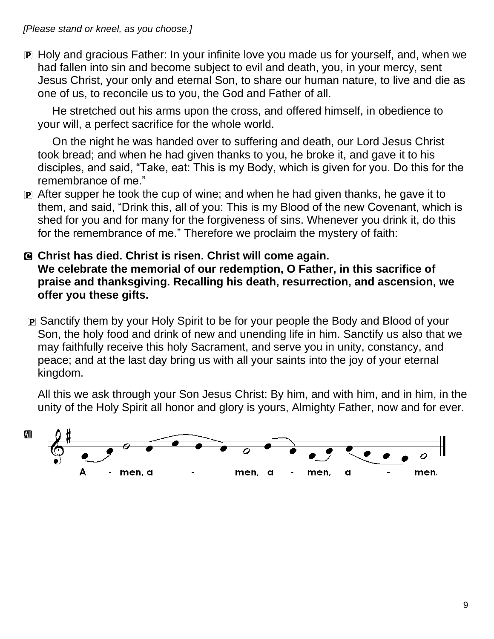*[Please stand or kneel, as you choose.]*

P Holy and gracious Father: In your infinite love you made us for yourself, and, when we had fallen into sin and become subject to evil and death, you, in your mercy, sent Jesus Christ, your only and eternal Son, to share our human nature, to live and die as one of us, to reconcile us to you, the God and Father of all.

He stretched out his arms upon the cross, and offered himself, in obedience to your will, a perfect sacrifice for the whole world.

On the night he was handed over to suffering and death, our Lord Jesus Christ took bread; and when he had given thanks to you, he broke it, and gave it to his disciples, and said, "Take, eat: This is my Body, which is given for you. Do this for the remembrance of me."

 $\overline{P}$  After supper he took the cup of wine; and when he had given thanks, he gave it to them, and said, "Drink this, all of you: This is my Blood of the new Covenant, which is shed for you and for many for the forgiveness of sins. Whenever you drink it, do this for the remembrance of me." Therefore we proclaim the mystery of faith:

#### C **Christ has died. Christ is risen. Christ will come again. We celebrate the memorial of our redemption, O Father, in this sacrifice of praise and thanksgiving. Recalling his death, resurrection, and ascension, we offer you these gifts.**

P Sanctify them by your Holy Spirit to be for your people the Body and Blood of your Son, the holy food and drink of new and unending life in him. Sanctify us also that we may faithfully receive this holy Sacrament, and serve you in unity, constancy, and peace; and at the last day bring us with all your saints into the joy of your eternal kingdom.

All this we ask through your Son Jesus Christ: By him, and with him, and in him, in the unity of the Holy Spirit all honor and glory is yours, Almighty Father, now and for ever.

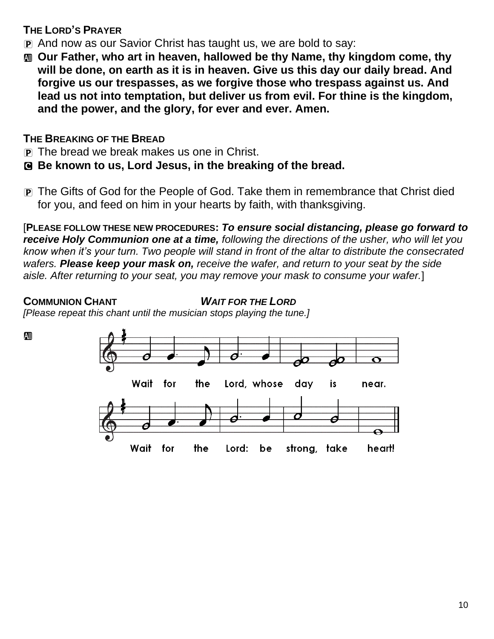#### **THE LORD'S PRAYER**

- P And now as our Savior Christ has taught us, we are bold to say:
- a **Our Father, who art in heaven, hallowed be thy Name, thy kingdom come, thy will be done, on earth as it is in heaven. Give us this day our daily bread. And forgive us our trespasses, as we forgive those who trespass against us. And lead us not into temptation, but deliver us from evil. For thine is the kingdom, and the power, and the glory, for ever and ever. Amen.**

#### **THE BREAKING OF THE BREAD**

- P The bread we break makes us one in Christ.
- C **Be known to us, Lord Jesus, in the breaking of the bread.**
- P The Gifts of God for the People of God. Take them in remembrance that Christ died for you, and feed on him in your hearts by faith, with thanksgiving.

[**PLEASE FOLLOW THESE NEW PROCEDURES:** *To ensure social distancing, please go forward to receive Holy Communion one at a time, following the directions of the usher, who will let you know when it's your turn. Two people will stand in front of the altar to distribute the consecrated wafers. Please keep your mask on, receive the wafer, and return to your seat by the side aisle. After returning to your seat, you may remove your mask to consume your wafer.*]

**All** 

**COMMUNION CHANT** *WAIT FOR THE LORD*

*[Please repeat this chant until the musician stops playing the tune.]*

Wait the Lord, whose for day is near. Wait for the Lord: be strong, take heart!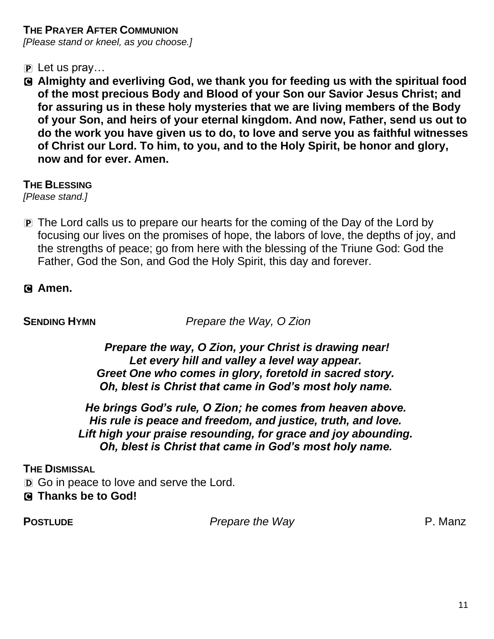- $\mathbf{P}$  Let us pray...
- C **Almighty and everliving God, we thank you for feeding us with the spiritual food of the most precious Body and Blood of your Son our Savior Jesus Christ; and for assuring us in these holy mysteries that we are living members of the Body of your Son, and heirs of your eternal kingdom. And now, Father, send us out to do the work you have given us to do, to love and serve you as faithful witnesses of Christ our Lord. To him, to you, and to the Holy Spirit, be honor and glory, now and for ever. Amen.**

#### **THE BLESSING**

*[Please stand.]*

P The Lord calls us to prepare our hearts for the coming of the Day of the Lord by focusing our lives on the promises of hope, the labors of love, the depths of joy, and the strengths of peace; go from here with the blessing of the Triune God: God the Father, God the Son, and God the Holy Spirit, this day and forever.

C **Amen.**

**SENDING HYMN** *Prepare the Way, O Zion*

*Prepare the way, O Zion, your Christ is drawing near! Let every hill and valley a level way appear. Greet One who comes in glory, foretold in sacred story. Oh, blest is Christ that came in God's most holy name.* 

*He brings God's rule, O Zion; he comes from heaven above. His rule is peace and freedom, and justice, truth, and love. Lift high your praise resounding, for grace and joy abounding. Oh, blest is Christ that came in God's most holy name.* 

#### **THE DISMISSAL**

D Go in peace to love and serve the Lord.

C **Thanks be to God!**

**POSTLUDE** *Prepare the Way* **P. Manz**